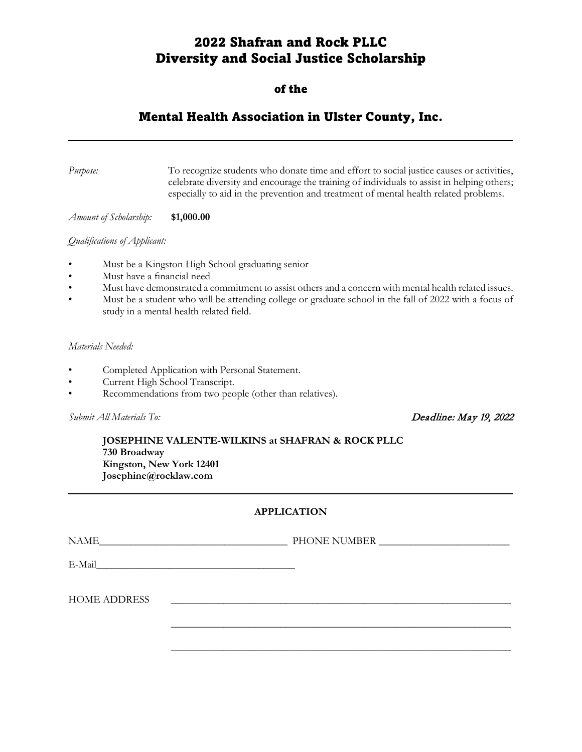# 2022 Shafran and Rock PLLC Diversity and Social Justice Scholarship

## of the

# Mental Health Association in Ulster County, Inc.

*Purpose:* To recognize students who donate time and effort to social justice causes or activities, celebrate diversity and encourage the training of individuals to assist in helping others; especially to aid in the prevention and treatment of mental health related problems.

*Amount of Scholarship:* **\$1,000.00**

#### *Qualifications of Applicant:*

- Must be a Kingston High School graduating senior
- Must have a financial need
- Must have demonstrated a commitment to assist others and a concern with mental health related issues.
- Must be a student who will be attending college or graduate school in the fall of 2022 with a focus of study in a mental health related field.

### *Materials Needed:*

- Completed Application with Personal Statement.
- Current High School Transcript.
- Recommendations from two people (other than relatives).

*Submit All Materials To:* Deadline: May 19, 2022

**JOSEPHINE VALENTE-WILKINS at SHAFRAN & ROCK PLLC 730 Broadway Kingston, New York 12401 Josephine@rocklaw.com**

## **APPLICATION**

NAME\_\_\_\_\_\_\_\_\_\_\_\_\_\_\_\_\_\_\_\_\_\_\_\_\_\_\_\_\_\_\_\_\_\_\_\_ PHONE NUMBER \_\_\_\_\_\_\_\_\_\_\_\_\_\_\_\_\_\_\_\_\_\_\_\_\_

\_\_\_\_\_\_\_\_\_\_\_\_\_\_\_\_\_\_\_\_\_\_\_\_\_\_\_\_\_\_\_\_\_\_\_\_\_\_\_\_\_\_\_\_\_\_\_\_\_\_\_\_\_\_\_\_\_\_\_\_\_\_\_\_\_

\_\_\_\_\_\_\_\_\_\_\_\_\_\_\_\_\_\_\_\_\_\_\_\_\_\_\_\_\_\_\_\_\_\_\_\_\_\_\_\_\_\_\_\_\_\_\_\_\_\_\_\_\_\_\_\_\_\_\_\_\_\_\_\_\_

| E-Mail |  |  |  |
|--------|--|--|--|
|        |  |  |  |

HOME ADDRESS \_\_\_\_\_\_\_\_\_\_\_\_\_\_\_\_\_\_\_\_\_\_\_\_\_\_\_\_\_\_\_\_\_\_\_\_\_\_\_\_\_\_\_\_\_\_\_\_\_\_\_\_\_\_\_\_\_\_\_\_\_\_\_\_\_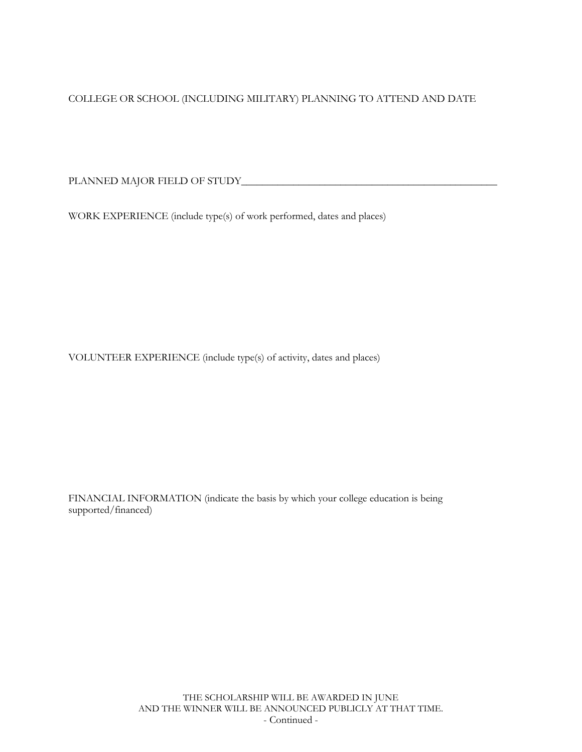COLLEGE OR SCHOOL (INCLUDING MILITARY) PLANNING TO ATTEND AND DATE

PLANNED MAJOR FIELD OF STUDY\_\_\_\_\_\_\_\_\_\_\_\_\_\_\_\_\_\_\_\_\_\_\_\_\_\_\_\_\_\_\_\_\_\_\_\_\_\_\_\_\_\_\_\_\_\_\_\_\_

WORK EXPERIENCE (include type(s) of work performed, dates and places)

VOLUNTEER EXPERIENCE (include type(s) of activity, dates and places)

FINANCIAL INFORMATION (indicate the basis by which your college education is being supported/financed)